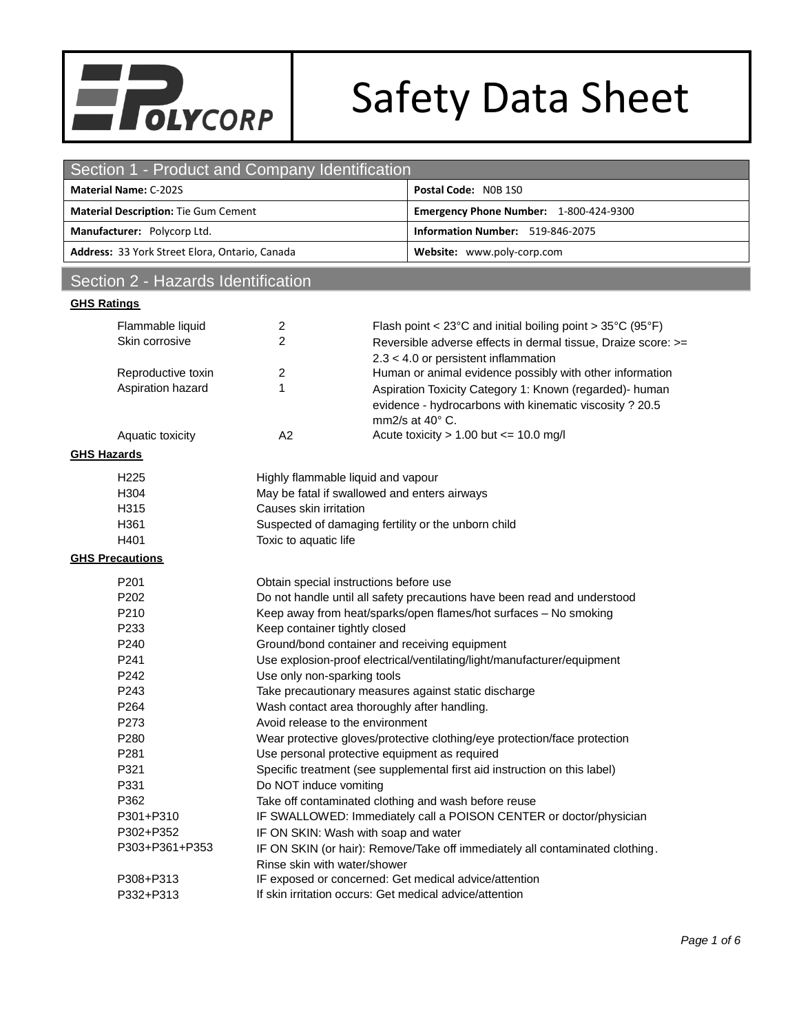

# Safety Data Sheet

| Section 1 - Product and Company Identification                                                                     |                       |  |  |
|--------------------------------------------------------------------------------------------------------------------|-----------------------|--|--|
| <b>Material Name: C-202S</b><br>Postal Code: NOB 1SO                                                               |                       |  |  |
| <b>Material Description: Tie Gum Cement</b><br>Emergency Phone Number: 1-800-424-9300                              |                       |  |  |
| Information Number: 519-846-2075<br>Manufacturer: Polycorp Ltd.                                                    |                       |  |  |
| Address: 33 York Street Elora, Ontario, Canada<br>Website: www.poly-corp.com                                       |                       |  |  |
| Section 2 - Hazards Identification                                                                                 |                       |  |  |
|                                                                                                                    |                       |  |  |
| <b>GHS Ratings</b>                                                                                                 |                       |  |  |
| Flammable liquid<br>Flash point < $23^{\circ}$ C and initial boiling point > $35^{\circ}$ C (95 $^{\circ}$ F)<br>2 |                       |  |  |
| $\overline{2}$<br>Skin corrosive<br>Reversible adverse effects in dermal tissue, Draize score: >=                  |                       |  |  |
| $2.3 < 4.0$ or persistent inflammation                                                                             |                       |  |  |
| Human or animal evidence possibly with other information<br>Reproductive toxin<br>2                                |                       |  |  |
| Aspiration hazard<br>1<br>Aspiration Toxicity Category 1: Known (regarded)- human                                  |                       |  |  |
| evidence - hydrocarbons with kinematic viscosity ? 20.5                                                            |                       |  |  |
| mm2/s at $40^{\circ}$ C.                                                                                           |                       |  |  |
| Acute toxicity $> 1.00$ but $<= 10.0$ mg/l<br>A2<br>Aquatic toxicity                                               |                       |  |  |
| <b>GHS Hazards</b>                                                                                                 |                       |  |  |
| H <sub>225</sub><br>Highly flammable liquid and vapour                                                             |                       |  |  |
| May be fatal if swallowed and enters airways<br>H304                                                               |                       |  |  |
| H315<br>Causes skin irritation                                                                                     |                       |  |  |
| H361<br>Suspected of damaging fertility or the unborn child                                                        |                       |  |  |
| H401                                                                                                               | Toxic to aquatic life |  |  |
| <b>GHS Precautions</b>                                                                                             |                       |  |  |
| P <sub>201</sub><br>Obtain special instructions before use                                                         |                       |  |  |
| P202<br>Do not handle until all safety precautions have been read and understood                                   |                       |  |  |
| P210<br>Keep away from heat/sparks/open flames/hot surfaces - No smoking                                           |                       |  |  |
| P233<br>Keep container tightly closed                                                                              |                       |  |  |
| P240<br>Ground/bond container and receiving equipment                                                              |                       |  |  |
| P241<br>Use explosion-proof electrical/ventilating/light/manufacturer/equipment                                    |                       |  |  |
| P242<br>Use only non-sparking tools                                                                                |                       |  |  |
| P243<br>Take precautionary measures against static discharge                                                       |                       |  |  |
| P264<br>Wash contact area thoroughly after handling.                                                               |                       |  |  |
| P273<br>Avoid release to the environment                                                                           |                       |  |  |
| P280<br>Wear protective gloves/protective clothing/eye protection/face protection                                  |                       |  |  |
| P281<br>Use personal protective equipment as required                                                              |                       |  |  |
| P321<br>Specific treatment (see supplemental first aid instruction on this label)                                  |                       |  |  |
| P331<br>Do NOT induce vomiting                                                                                     |                       |  |  |
| P362<br>Take off contaminated clothing and wash before reuse                                                       |                       |  |  |
| P301+P310<br>IF SWALLOWED: Immediately call a POISON CENTER or doctor/physician                                    |                       |  |  |
|                                                                                                                    |                       |  |  |
| P302+P352<br>IF ON SKIN: Wash with soap and water<br>P303+P361+P353                                                |                       |  |  |
| IF ON SKIN (or hair): Remove/Take off immediately all contaminated clothing.                                       |                       |  |  |
| Rinse skin with water/shower                                                                                       |                       |  |  |
| P308+P313<br>IF exposed or concerned: Get medical advice/attention                                                 |                       |  |  |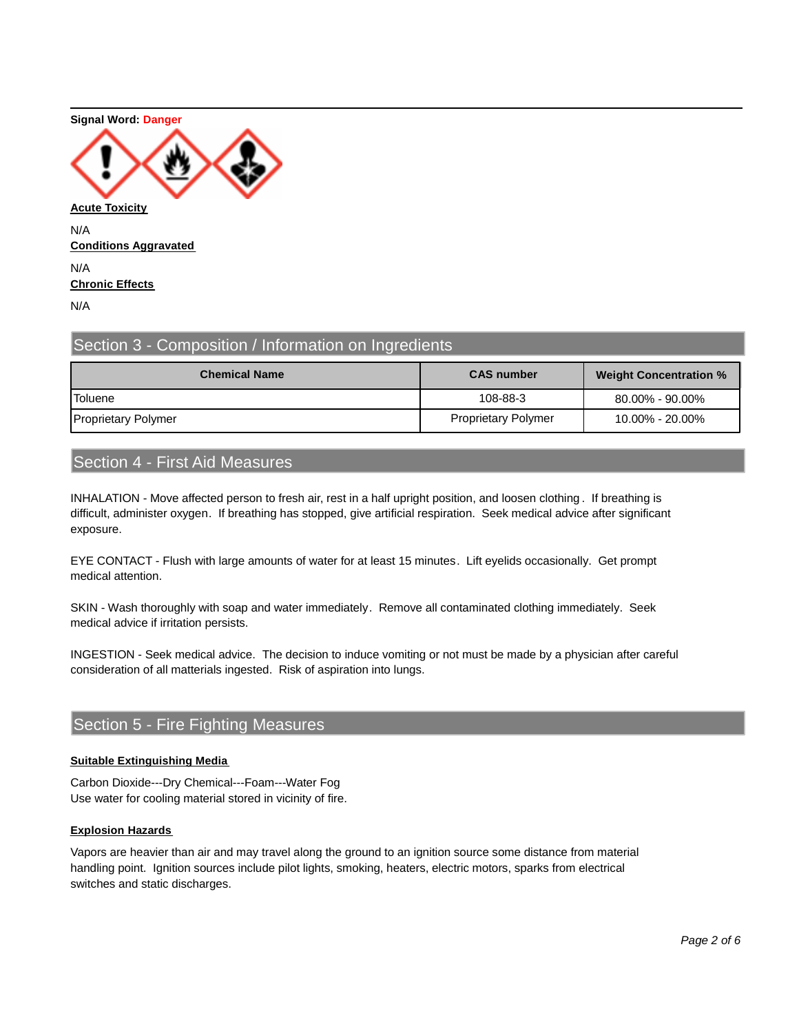#### **Signal Word: Danger**



**Conditions Aggravated** N/A **Chronic Effects** N/A

# Section 3 - Composition / Information on Ingredients

| <b>Chemical Name</b>       | <b>CAS number</b>          | <b>Weight Concentration %</b> |
|----------------------------|----------------------------|-------------------------------|
| <b>Toluene</b>             | 108-88-3                   | 80.00% - 90.00%               |
| <b>Proprietary Polymer</b> | <b>Proprietary Polymer</b> | 10.00% - 20.00%               |

# Section 4 - First Aid Measures

INHALATION - Move affected person to fresh air, rest in a half upright position, and loosen clothing . If breathing is difficult, administer oxygen. If breathing has stopped, give artificial respiration. Seek medical advice after significant exposure.

EYE CONTACT - Flush with large amounts of water for at least 15 minutes. Lift eyelids occasionally. Get prompt medical attention.

SKIN - Wash thoroughly with soap and water immediately. Remove all contaminated clothing immediately. Seek medical advice if irritation persists.

INGESTION - Seek medical advice. The decision to induce vomiting or not must be made by a physician after careful consideration of all matterials ingested. Risk of aspiration into lungs.

# Section 5 - Fire Fighting Measures

#### **Suitable Extinguishing Media**

Carbon Dioxide---Dry Chemical---Foam---Water Fog Use water for cooling material stored in vicinity of fire.

#### **Explosion Hazards**

Vapors are heavier than air and may travel along the ground to an ignition source some distance from material handling point. Ignition sources include pilot lights, smoking, heaters, electric motors, sparks from electrical switches and static discharges.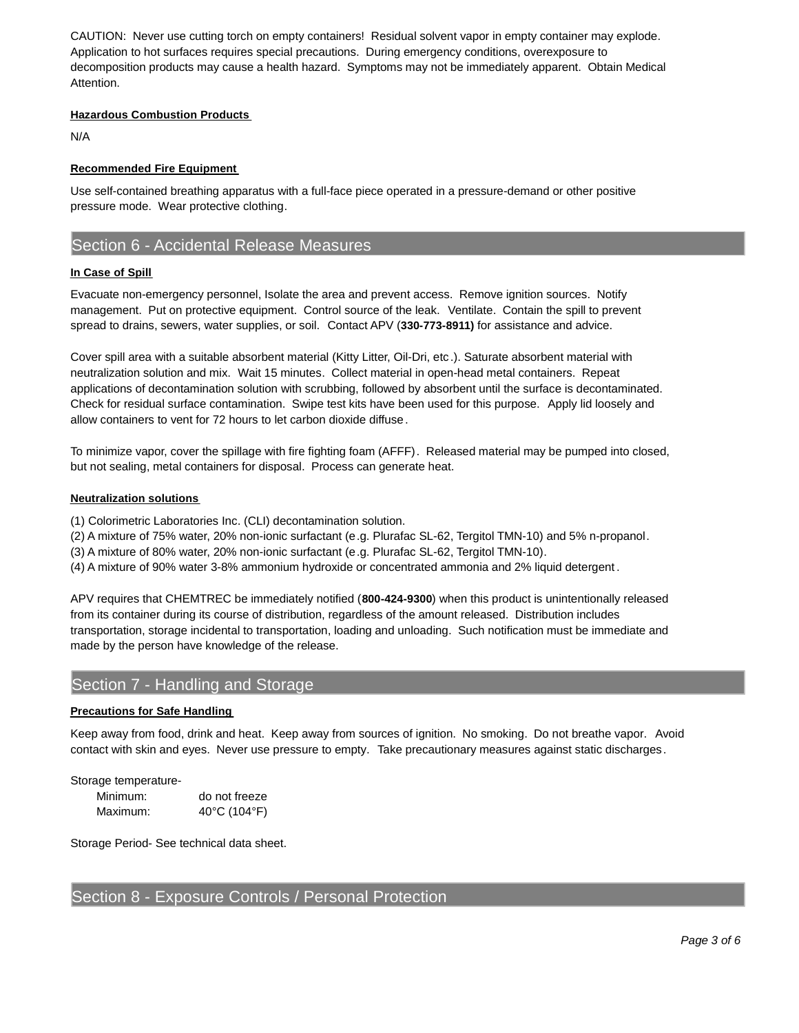CAUTION: Never use cutting torch on empty containers! Residual solvent vapor in empty container may explode. Application to hot surfaces requires special precautions. During emergency conditions, overexposure to decomposition products may cause a health hazard. Symptoms may not be immediately apparent. Obtain Medical Attention.

#### **Hazardous Combustion Products**

N/A

#### **Recommended Fire Equipment**

Use self-contained breathing apparatus with a full-face piece operated in a pressure-demand or other positive pressure mode. Wear protective clothing.

# Section 6 - Accidental Release Measures

#### **In Case of Spill**

Evacuate non-emergency personnel, Isolate the area and prevent access. Remove ignition sources. Notify management. Put on protective equipment. Control source of the leak. Ventilate. Contain the spill to prevent spread to drains, sewers, water supplies, or soil. Contact APV (**330-773-8911)** for assistance and advice.

Cover spill area with a suitable absorbent material (Kitty Litter, Oil-Dri, etc .). Saturate absorbent material with neutralization solution and mix. Wait 15 minutes. Collect material in open-head metal containers. Repeat applications of decontamination solution with scrubbing, followed by absorbent until the surface is decontaminated. Check for residual surface contamination. Swipe test kits have been used for this purpose. Apply lid loosely and allow containers to vent for 72 hours to let carbon dioxide diffuse.

To minimize vapor, cover the spillage with fire fighting foam (AFFF). Released material may be pumped into closed, but not sealing, metal containers for disposal. Process can generate heat.

#### **Neutralization solutions**

(1) Colorimetric Laboratories Inc. (CLI) decontamination solution.

- (2) A mixture of 75% water, 20% non-ionic surfactant (e.g. Plurafac SL-62, Tergitol TMN-10) and 5% n-propanol.
- (3) A mixture of 80% water, 20% non-ionic surfactant (e.g. Plurafac SL-62, Tergitol TMN-10).
- (4) A mixture of 90% water 3-8% ammonium hydroxide or concentrated ammonia and 2% liquid detergent .

APV requires that CHEMTREC be immediately notified (**800-424-9300**) when this product is unintentionally released from its container during its course of distribution, regardless of the amount released. Distribution includes transportation, storage incidental to transportation, loading and unloading. Such notification must be immediate and made by the person have knowledge of the release.

# Section 7 - Handling and Storage

#### **Precautions for Safe Handling**

Keep away from food, drink and heat. Keep away from sources of ignition. No smoking. Do not breathe vapor. Avoid contact with skin and eyes. Never use pressure to empty. Take precautionary measures against static discharges.

Storage temperature-

| Minimum: | do not freeze |
|----------|---------------|
| Maximum: | 40°C (104°F)  |

Storage Period- See technical data sheet.

# Section 8 - Exposure Controls / Personal Protection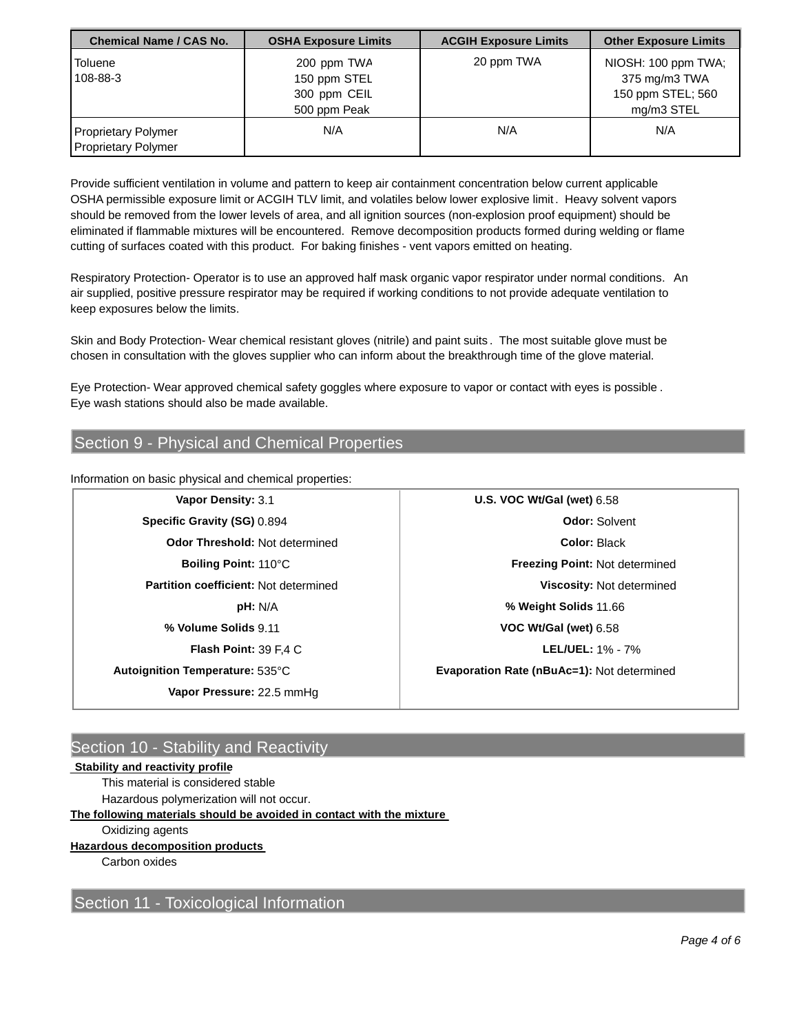| <b>Chemical Name / CAS No.</b>                    | <b>OSHA Exposure Limits</b>                                 | <b>ACGIH Exposure Limits</b> | <b>Other Exposure Limits</b>                                           |
|---------------------------------------------------|-------------------------------------------------------------|------------------------------|------------------------------------------------------------------------|
| <b>Toluene</b><br>108-88-3                        | 200 ppm TWA<br>150 ppm STEL<br>300 ppm CEIL<br>500 ppm Peak | 20 ppm TWA                   | NIOSH: 100 ppm TWA<br>375 mg/m3 TWA<br>150 ppm STEL; 560<br>mg/m3 STEL |
| Proprietary Polymer<br><b>Proprietary Polymer</b> | N/A                                                         | N/A                          | N/A                                                                    |

Provide sufficient ventilation in volume and pattern to keep air containment concentration below current applicable OSHA permissible exposure limit or ACGIH TLV limit, and volatiles below lower explosive limit. Heavy solvent vapors should be removed from the lower levels of area, and all ignition sources (non-explosion proof equipment) should be eliminated if flammable mixtures will be encountered. Remove decomposition products formed during welding or flame cutting of surfaces coated with this product. For baking finishes - vent vapors emitted on heating.

Respiratory Protection- Operator is to use an approved half mask organic vapor respirator under normal conditions. An air supplied, positive pressure respirator may be required if working conditions to not provide adequate ventilation to keep exposures below the limits.

Skin and Body Protection- Wear chemical resistant gloves (nitrile) and paint suits . The most suitable glove must be chosen in consultation with the gloves supplier who can inform about the breakthrough time of the glove material.

Eye Protection- Wear approved chemical safety goggles where exposure to vapor or contact with eyes is possible . Eye wash stations should also be made available.

# Section 9 - Physical and Chemical Properties

Information on basic physical and chemical properties:

| Vapor Density: 3.1                           | U.S. VOC Wt/Gal (wet) 6.58                        |
|----------------------------------------------|---------------------------------------------------|
| Specific Gravity (SG) 0.894                  | <b>Odor: Solvent</b>                              |
| <b>Odor Threshold: Not determined</b>        | <b>Color: Black</b>                               |
| Boiling Point: 110°C                         | <b>Freezing Point: Not determined</b>             |
| <b>Partition coefficient: Not determined</b> | Viscosity: Not determined                         |
| pH: N/A                                      | % Weight Solids 11.66                             |
| % Volume Solids 9.11                         | VOC Wt/Gal (wet) 6.58                             |
| Flash Point: 39 F.4 C                        | <b>LEL/UEL: 1% - 7%</b>                           |
| Autoignition Temperature: 535°C              | <b>Evaporation Rate (nBuAc=1): Not determined</b> |
| Vapor Pressure: 22.5 mmHg                    |                                                   |

# Section 10 - Stability and Reactivity

## **Stability and reactivity profile**

This material is considered stable

Hazardous polymerization will not occur.

**The following materials should be avoided in contact with the mixture**

# Oxidizing agents

## **Hazardous decomposition products**

Carbon oxides

Section 11 - Toxicological Information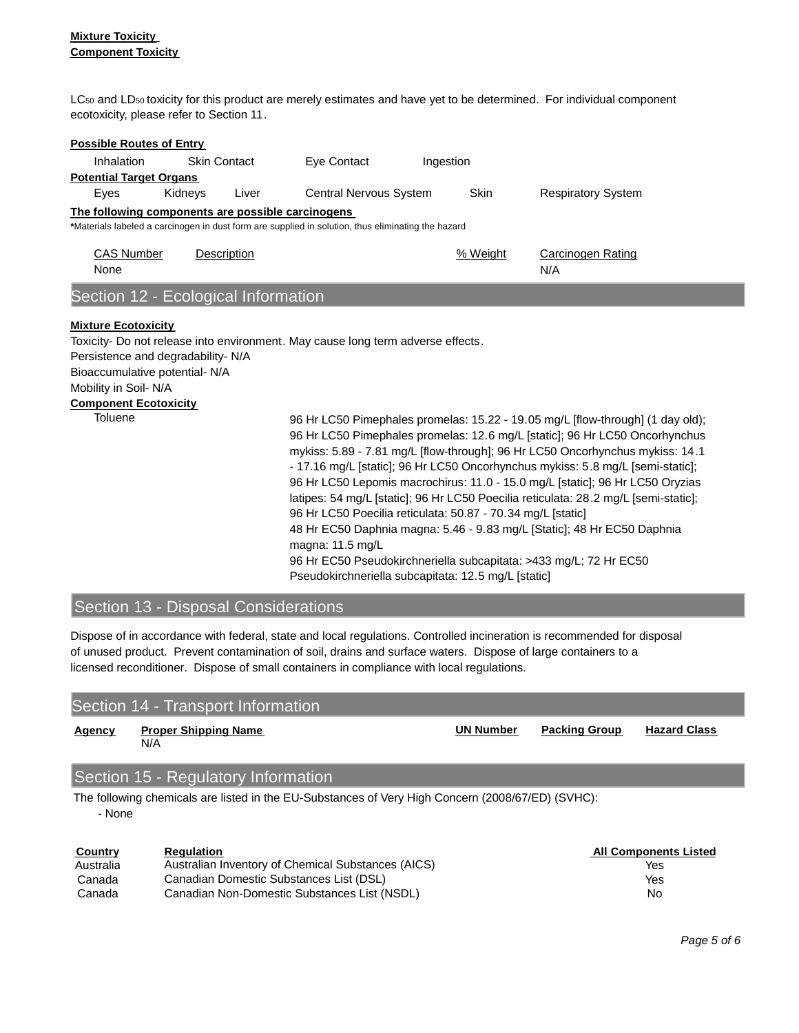LC<sub>50</sub> and LD<sub>50</sub> toxicity for this product are merely estimates and have yet to be determined. For individual component ecotoxicity, please refer to Section 11.

| <b>Possible Routes of Entry</b>                                                                                                               |         |                     |                                                                                                                                                |           |             |                                                                                                                                                                                                                                                                                                                                                                                                                                                                                                          |
|-----------------------------------------------------------------------------------------------------------------------------------------------|---------|---------------------|------------------------------------------------------------------------------------------------------------------------------------------------|-----------|-------------|----------------------------------------------------------------------------------------------------------------------------------------------------------------------------------------------------------------------------------------------------------------------------------------------------------------------------------------------------------------------------------------------------------------------------------------------------------------------------------------------------------|
| Inhalation                                                                                                                                    |         | <b>Skin Contact</b> | Eye Contact                                                                                                                                    | Ingestion |             |                                                                                                                                                                                                                                                                                                                                                                                                                                                                                                          |
| <b>Potential Target Organs</b>                                                                                                                |         |                     |                                                                                                                                                |           |             |                                                                                                                                                                                                                                                                                                                                                                                                                                                                                                          |
| Eyes                                                                                                                                          | Kidneys | Liver               | Central Nervous System                                                                                                                         |           | <b>Skin</b> | <b>Respiratory System</b>                                                                                                                                                                                                                                                                                                                                                                                                                                                                                |
| The following components are possible carcinogens                                                                                             |         |                     |                                                                                                                                                |           |             |                                                                                                                                                                                                                                                                                                                                                                                                                                                                                                          |
|                                                                                                                                               |         |                     | *Materials labeled a carcinogen in dust form are supplied in solution, thus eliminating the hazard                                             |           |             |                                                                                                                                                                                                                                                                                                                                                                                                                                                                                                          |
| <b>CAS Number</b><br>None                                                                                                                     |         | <b>Description</b>  |                                                                                                                                                |           | % Weight    | <b>Carcinogen Rating</b><br>N/A                                                                                                                                                                                                                                                                                                                                                                                                                                                                          |
| Section 12 - Ecological Information                                                                                                           |         |                     |                                                                                                                                                |           |             |                                                                                                                                                                                                                                                                                                                                                                                                                                                                                                          |
| Persistence and degradability-N/A<br>Bioaccumulative potential- N/A<br>Mobility in Soil-N/A<br><b>Component Ecotoxicity</b><br><b>Toluene</b> |         |                     | Toxicity- Do not release into environment. May cause long term adverse effects.<br>96 Hr LC50 Poecilia reticulata: 50.87 - 70.34 mg/L [static] |           |             | 96 Hr LC50 Pimephales promelas: 15.22 - 19.05 mg/L [flow-through] (1 day old);<br>96 Hr LC50 Pimephales promelas: 12.6 mg/L [static]; 96 Hr LC50 Oncorhynchus<br>mykiss: 5.89 - 7.81 mg/L [flow-through]; 96 Hr LC50 Oncorhynchus mykiss: 14.1<br>- 17.16 mg/L [static]; 96 Hr LC50 Oncorhynchus mykiss: 5.8 mg/L [semi-static];<br>96 Hr LC50 Lepomis macrochirus: 11.0 - 15.0 mg/L [static]; 96 Hr LC50 Oryzias<br>latipes: 54 mg/L [static]; 96 Hr LC50 Poecilia reticulata: 28.2 mg/L [semi-static]; |
|                                                                                                                                               |         |                     | 48 Hr EC50 Daphnia magna: 5.46 - 9.83 mg/L [Static]; 48 Hr EC50 Daphnia<br>magna: 11.5 mg/L                                                    |           |             |                                                                                                                                                                                                                                                                                                                                                                                                                                                                                                          |
|                                                                                                                                               |         |                     | 96 Hr EC50 Pseudokirchneriella subcapitata: >433 mg/L; 72 Hr EC50<br>Pseudokirchneriella subcapitata: 12.5 mg/L [static]                       |           |             |                                                                                                                                                                                                                                                                                                                                                                                                                                                                                                          |

# Section 13 - Disposal Considerations

Dispose of in accordance with federal, state and local regulations. Controlled incineration is recommended for disposal of unused product. Prevent contamination of soil, drains and surface waters. Dispose of large containers to a licensed reconditioner. Dispose of small containers in compliance with local regulations.

# Section 14 - Transport Information

| Agency | <b>Proper Shipping Name</b> | <b>UN Number</b> | Packing Group | <b>Hazard Class</b> |
|--------|-----------------------------|------------------|---------------|---------------------|
|        | N/A                         |                  |               |                     |
|        |                             |                  |               |                     |

# Section 15 - Regulatory Information

The following chemicals are listed in the EU-Substances of Very High Concern (2008/67/ED) (SVHC): - None

| Country   | <b>Regulation</b>                                  | <b>All Components Listed</b> |
|-----------|----------------------------------------------------|------------------------------|
| Australia | Australian Inventory of Chemical Substances (AICS) | Yes                          |
| Canada    | Canadian Domestic Substances List (DSL)            | Yes                          |
| Canada    | Canadian Non-Domestic Substances List (NSDL)       | No                           |